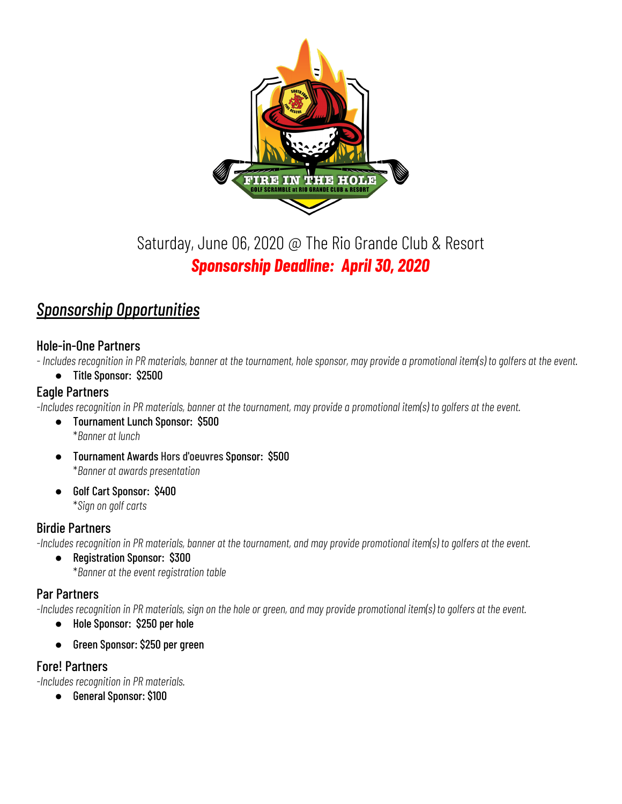

# Saturday, June 06, 2020 @ The Rio Grande Club & Resort *Sponsorship Deadline: April 30, 2020*

## *Sponsorship Opportunities*

#### Hole-in-One Partners

- Includes recognition in PR materials, banner at the tournament, hole sponsor, may provide a promotional item(s) to golfers at the event.

● Title Sponsor: \$2500

#### Eagle Partners

-Includes recognition in PR materials, banner at the tournament, may provide a promotional item(s) to golfers at the event.

- *●* Tournament Lunch Sponsor: \$500 \**Banner at lunch*
- *●* Tournament Awards Hors d'oeuvres Sponsor: \$500 \**Banner at awards presentation*
- *●* Golf Cart Sponsor: \$400 \**Sign on golf carts*

#### Birdie Partners

-Includes recognition in PR materials, banner at the tournament, and may provide promotional item(s) to golfers at the event.

*●* Registration Sponsor: \$300 \**Banner at the event registration table*

#### Par Partners

-Includes recognition in PR materials, sign on the hole or green, and may provide promotional item(s) to golfers at the event.

- Hole Sponsor: \$250 per hole
- Green Sponsor: \$250 per green

### Fore! Partners

*-Includes recognition in PR materials.*

● General Sponsor: \$100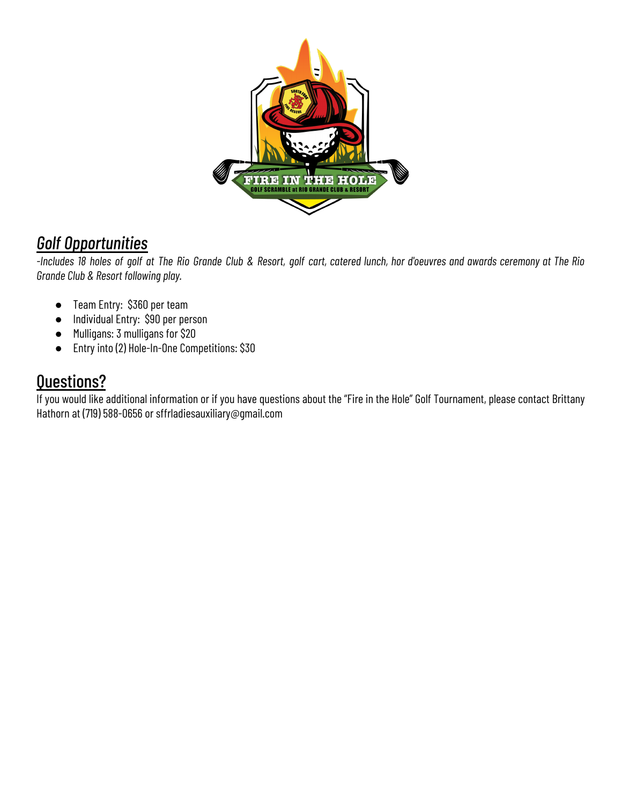

### *Golf Opportunities*

-Includes 18 holes of golf at The Rio Grande Club & Resort, golf cart, catered lunch, hor d'oeuvres and awards ceremony at The Rio *Grande Club & Resort following play.*

- Team Entry: \$360 per team
- Individual Entry: \$90 per person
- Mulligans: 3 mulligans for \$20
- Entry into (2) Hole-In-One Competitions: \$30

### Questions?

If you would like additional information or if you have questions about the "Fire in the Hole" Golf Tournament, please contact Brittany Hathorn at (719) 588-0656 or sffrladiesauxiliary@gmail.com